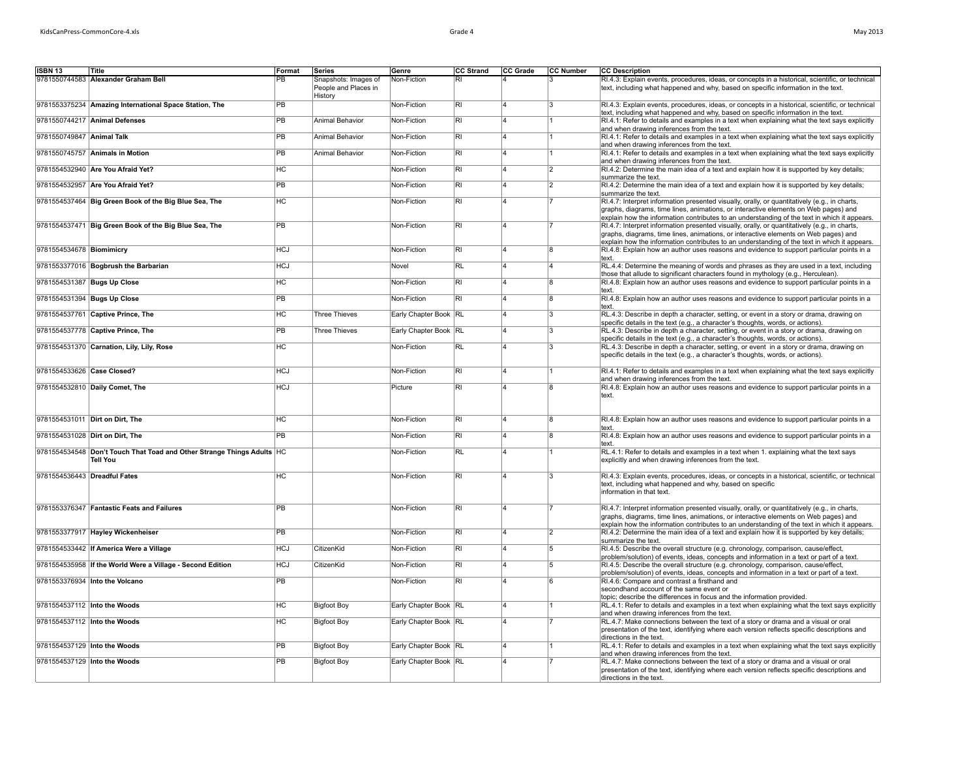| ISBN 13                      | Title                                                                                     | Format          | Series                          | Genre                 | CC Strand                | CC Grade                | CC Number               | <b>CC Description</b>                                                                                                                                                                                                                                                                |
|------------------------------|-------------------------------------------------------------------------------------------|-----------------|---------------------------------|-----------------------|--------------------------|-------------------------|-------------------------|--------------------------------------------------------------------------------------------------------------------------------------------------------------------------------------------------------------------------------------------------------------------------------------|
|                              | 9781550744583 Alexander Graham Bell                                                       | PB              | Snapshots: Images of            | Non-Fiction           | RI                       |                         |                         | RI.4.3: Explain events, procedures, ideas, or concepts in a historical, scientific, or technical                                                                                                                                                                                     |
|                              |                                                                                           |                 | People and Places in<br>History |                       |                          |                         |                         | text, including what happened and why, based on specific information in the text.                                                                                                                                                                                                    |
|                              | 9781553375234 Amazing International Space Station, The                                    | <b>PB</b>       |                                 | Non-Fiction           | RI                       | 4                       | $\overline{3}$          | RI.4.3: Explain events, procedures, ideas, or concepts in a historical, scientific, or technical<br>text, including what happened and why, based on specific information in the text.                                                                                                |
|                              | 9781550744217 Animal Defenses                                                             | PB              | Animal Behavior                 | Non-Fiction           | $\overline{R}$           | $\overline{A}$          |                         | RI.4.1: Refer to details and examples in a text when explaining what the text says explicitly<br>and when drawing inferences from the text.                                                                                                                                          |
| 9781550749847 Animal Talk    |                                                                                           | $\overline{PB}$ | Animal Behavior                 | Non-Fiction           | RI.                      | $\Delta$                | 1                       | RI.4.1: Refer to details and examples in a text when explaining what the text says explicitly<br>and when drawing inferences from the text.                                                                                                                                          |
|                              | 9781550745757 Animals in Motion                                                           | PB              | Animal Behavior                 | Non-Fiction           | $\overline{R}$           | 14                      | 11                      | RI.4.1: Refer to details and examples in a text when explaining what the text says explicitly<br>and when drawing inferences from the text.                                                                                                                                          |
|                              | 9781554532940 Are You Afraid Yet?                                                         | HC              |                                 | Non-Fiction           | $\overline{\mathsf{R}}$  | $\overline{\mathbf{A}}$ | $\overline{2}$          | RI.4.2: Determine the main idea of a text and explain how it is supported by key details;<br>summarize the text.                                                                                                                                                                     |
|                              | 9781554532957 Are You Afraid Yet?                                                         | <b>PB</b>       |                                 | Non-Fiction           | $\overline{\mathsf{RI}}$ | $\overline{4}$          | $\overline{2}$          | RI.4.2: Determine the main idea of a text and explain how it is supported by key details;<br>summarize the text.                                                                                                                                                                     |
|                              | 9781554537464 Big Green Book of the Big Blue Sea, The                                     | <b>HC</b>       |                                 | Non-Fiction           | $\overline{R}$           | 4                       |                         | RI.4.7: Interpret information presented visually, orally, or quantitatively (e.g., in charts,<br>graphs, diagrams, time lines, animations, or interactive elements on Web pages) and<br>explain how the information contributes to an understanding of the text in which it appears. |
|                              | 9781554537471 Big Green Book of the Big Blue Sea, The                                     | PB              |                                 | Non-Fiction           | $\overline{R}$           | $\overline{4}$          |                         | RI.4.7: Interpret information presented visually, orally, or quantitatively (e.g., in charts,<br>graphs, diagrams, time lines, animations, or interactive elements on Web pages) and<br>explain how the information contributes to an understanding of the text in which it appears. |
| 9781554534678 Biomimicry     |                                                                                           | <b>HCJ</b>      |                                 | Non-Fiction           | RI.                      | $\overline{4}$          | 8                       | RI.4.8: Explain how an author uses reasons and evidence to support particular points in a<br>text.                                                                                                                                                                                   |
|                              | 9781553377016 Bogbrush the Barbarian                                                      | <b>HCJ</b>      |                                 | Novel                 | RL                       | 4                       | $\Delta$                | RL.4.4: Determine the meaning of words and phrases as they are used in a text, including<br>those that allude to significant characters found in mythology (e.g., Herculean).                                                                                                        |
| 9781554531387 Bugs Up Close  |                                                                                           | HC              |                                 | Non-Fiction           | $\overline{\mathsf{R}}$  |                         | 8                       | RI.4.8: Explain how an author uses reasons and evidence to support particular points in a<br>text.                                                                                                                                                                                   |
| 9781554531394 Bugs Up Close  |                                                                                           | <b>PB</b>       |                                 | Non-Fiction           | $\overline{R}$           | 4                       | $\overline{8}$          | RI.4.8: Explain how an author uses reasons and evidence to support particular points in a<br>text.                                                                                                                                                                                   |
|                              | 9781554537761 Captive Prince, The                                                         | <b>HC</b>       | <b>Three Thieves</b>            | Early Chapter Book RL |                          | $\overline{4}$          | l3                      | RL.4.3: Describe in depth a character, setting, or event in a story or drama, drawing on<br>specific details in the text (e.g., a character's thoughts, words, or actions).                                                                                                          |
|                              | 9781554537778 Captive Prince, The                                                         | PB              | <b>Three Thieves</b>            | Early Chapter Book RL |                          | $\overline{\mathbf{A}}$ | $\overline{3}$          | RL.4.3: Describe in depth a character, setting, or event in a story or drama, drawing on<br>specific details in the text (e.g., a character's thoughts, words, or actions).                                                                                                          |
|                              | 9781554531370 Carnation, Lily, Lily, Rose                                                 | <b>HC</b>       |                                 | Non-Fiction           | <b>RL</b>                | $\overline{4}$          | 3                       | RL.4.3: Describe in depth a character, setting, or event in a story or drama, drawing on<br>specific details in the text (e.g., a character's thoughts, words, or actions).                                                                                                          |
| 9781554533626 Case Closed?   |                                                                                           | <b>HCJ</b>      |                                 | Non-Fiction           | RI                       | $\overline{4}$          |                         | RI.4.1: Refer to details and examples in a text when explaining what the text says explicitly<br>and when drawing inferences from the text.                                                                                                                                          |
|                              | 9781554532810 Daily Comet, The                                                            | <b>HCJ</b>      |                                 | Picture               | RI                       | 4                       | 8                       | RI.4.8: Explain how an author uses reasons and evidence to support particular points in a<br>text.                                                                                                                                                                                   |
|                              | 9781554531011 Dirt on Dirt, The                                                           | HC              |                                 | Non-Fiction           | RI                       | $\overline{4}$          | 8                       | RI.4.8: Explain how an author uses reasons and evidence to support particular points in a                                                                                                                                                                                            |
|                              | 9781554531028 Dirt on Dirt, The                                                           | PB              |                                 | Non-Fiction           | RI                       | 4                       | 8                       | text.<br>RI.4.8: Explain how an author uses reasons and evidence to support particular points in a                                                                                                                                                                                   |
|                              |                                                                                           |                 |                                 |                       |                          |                         |                         | text.                                                                                                                                                                                                                                                                                |
|                              | 9781554534548 Don't Touch That Toad and Other Strange Things Adults HC<br><b>Tell You</b> |                 |                                 | Non-Fiction           | RL                       |                         |                         | RL.4.1: Refer to details and examples in a text when 1. explaining what the text says<br>explicitly and when drawing inferences from the text.                                                                                                                                       |
| 9781554536443 Dreadful Fates |                                                                                           | <b>HC</b>       |                                 | Non-Fiction           | R <sub>1</sub>           |                         | $\overline{\mathbf{3}}$ | RI.4.3: Explain events, procedures, ideas, or concepts in a historical, scientific, or technical<br>text, including what happened and why, based on specific<br>information in that text.                                                                                            |
|                              | 9781553376347 Fantastic Feats and Failures                                                | <b>PB</b>       |                                 | Non-Fiction           | $\overline{\mathsf{R}}$  | 14                      |                         | RI.4.7: Interpret information presented visually, orally, or quantitatively (e.g., in charts,<br>graphs, diagrams, time lines, animations, or interactive elements on Web pages) and<br>explain how the information contributes to an understanding of the text in which it appears. |
|                              | 9781553377917 Hayley Wickenheiser                                                         | PB              |                                 | Non-Fiction           | RI                       | ۱Δ                      | 2                       | RI.4.2: Determine the main idea of a text and explain how it is supported by key details;<br>summarize the text.                                                                                                                                                                     |
|                              | 9781554533442 If America Were a Village                                                   | <b>HCJ</b>      | CitizenKid                      | Non-Fiction           | $\overline{\mathsf{R}}$  | $\overline{4}$          | $\overline{5}$          | RI.4.5: Describe the overall structure (e.g. chronology, comparison, cause/effect,<br>problem/solution) of events, ideas, concepts and information in a text or part of a text.                                                                                                      |
|                              | 9781554535958 If the World Were a Village - Second Edition                                | <b>HCJ</b>      | CitizenKid                      | Non-Fiction           | $\overline{R}$           | $\overline{A}$          | $\overline{5}$          | RI.4.5: Describe the overall structure (e.g. chronology, comparison, cause/effect,<br>problem/solution) of events, ideas, concepts and information in a text or part of a text.                                                                                                      |
|                              | 9781553376934 Into the Volcano                                                            | <b>PB</b>       |                                 | Non-Fiction           | $\overline{R}$           | $\overline{4}$          | 6                       | RI.4.6: Compare and contrast a firsthand and<br>secondhand account of the same event or<br>topic; describe the differences in focus and the information provided.                                                                                                                    |
| 9781554537112 Into the Woods |                                                                                           | <b>HC</b>       | <b>Bigfoot Boy</b>              | Early Chapter Book RL |                          | 4                       |                         | RL.4.1: Refer to details and examples in a text when explaining what the text says explicitly<br>and when drawing inferences from the text.                                                                                                                                          |
| 9781554537112 Into the Woods |                                                                                           | <b>HC</b>       | <b>Bigfoot Boy</b>              | Early Chapter Book RL |                          | 4                       |                         | RL.4.7: Make connections between the text of a story or drama and a visual or oral<br>presentation of the text, identifying where each version reflects specific descriptions and                                                                                                    |
| 9781554537129 Into the Woods |                                                                                           | <b>PB</b>       | <b>Bigfoot Boy</b>              | Early Chapter Book RL |                          | 4                       |                         | directions in the text.<br>RL.4.1: Refer to details and examples in a text when explaining what the text says explicitly                                                                                                                                                             |
| 9781554537129 Into the Woods |                                                                                           | $\overline{PB}$ |                                 |                       |                          |                         |                         | and when drawing inferences from the text.                                                                                                                                                                                                                                           |
|                              |                                                                                           |                 | <b>Bigfoot Boy</b>              | Early Chapter Book RL |                          |                         |                         | RL.4.7: Make connections between the text of a story or drama and a visual or oral<br>presentation of the text, identifying where each version reflects specific descriptions and<br>directions in the text.                                                                         |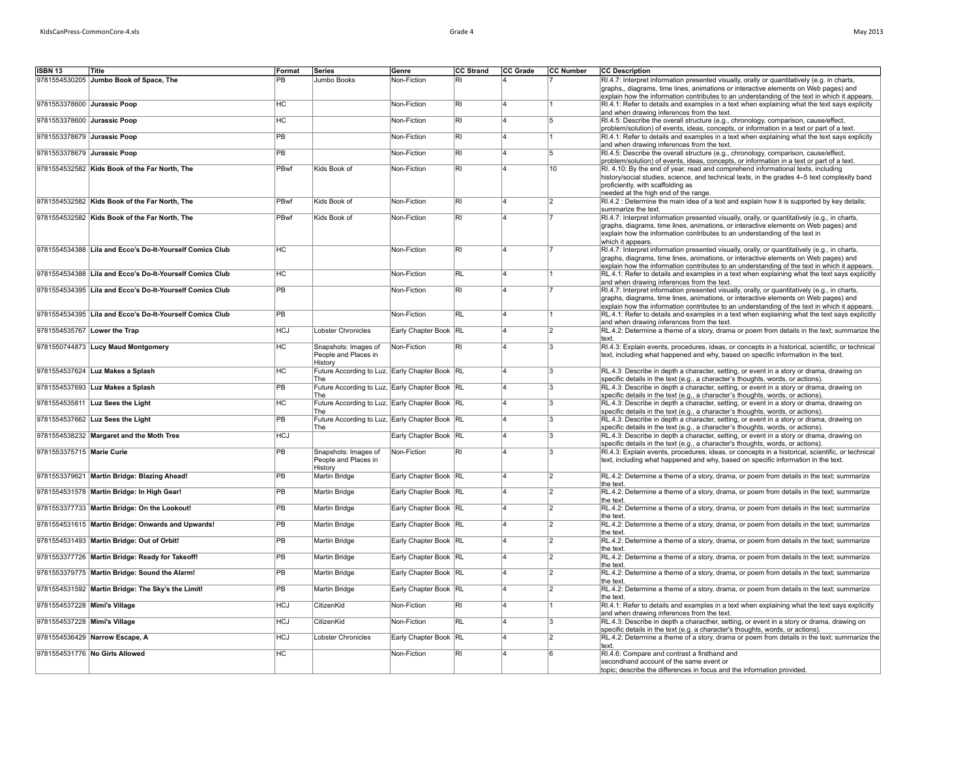|  | iviay 2013 |  |
|--|------------|--|
|  |            |  |
|  |            |  |

| <b>ISBN 13</b>               | Title                                                    | Format         | Series                                                | Genre                 | <b>CC Strand</b>         | CC Grade                | <b>CC Number</b> | <b>CC Description</b>                                                                                                                                                                     |
|------------------------------|----------------------------------------------------------|----------------|-------------------------------------------------------|-----------------------|--------------------------|-------------------------|------------------|-------------------------------------------------------------------------------------------------------------------------------------------------------------------------------------------|
|                              | 9781554530205 Jumbo Book of Space, The                   | PB             | Jumbo Books                                           | Non-Fiction           | RI.                      |                         |                  | RI.4.7: Interpret information presented visually, orally or quantitatively (e.g. in charts,                                                                                               |
|                              |                                                          |                |                                                       |                       |                          |                         |                  | graphs,, diagrams, time lines, animations or interactive elements on Web pages) and                                                                                                       |
|                              |                                                          |                |                                                       |                       |                          |                         |                  | explain how the information contributes to an understanding of the text in which it appears.                                                                                              |
| 9781553378600 Jurassic Poop  |                                                          | <b>HC</b>      |                                                       | Non-Fiction           | <b>RI</b>                | 4                       |                  | RI.4.1: Refer to details and examples in a text when explaining what the text says explicity                                                                                              |
|                              |                                                          |                |                                                       |                       |                          |                         |                  | and when drawing inferences from the text.                                                                                                                                                |
| 9781553378600 Jurassic Poop  |                                                          | <b>HC</b>      |                                                       | Non-Fiction           | <b>RI</b>                | 4                       | 15               | RI.4.5: Describe the overall structure (e.g., chronology, comparison, cause/effect,                                                                                                       |
| 9781553378679 Jurassic Poop  |                                                          | <b>PB</b>      |                                                       | Non-Fiction           | RI                       | $\overline{\mathbf{4}}$ |                  | problem/solution) of events, ideas, concepts, or information in a text or part of a text.<br>RI.4.1: Refer to details and examples in a text when explaining what the text says explicity |
|                              |                                                          |                |                                                       |                       |                          |                         |                  | and when drawing inferences from the text.                                                                                                                                                |
| 9781553378679 Jurassic Poop  |                                                          | <b>PB</b>      |                                                       | Non-Fiction           | $\overline{R}$           | 4                       | $\overline{5}$   | RI.4.5: Describe the overall structure (e.g., chronology, comparison, cause/effect,                                                                                                       |
|                              |                                                          |                |                                                       |                       |                          |                         |                  | problem/solution) of events, ideas, concepts, or information in a text or part of a text.                                                                                                 |
|                              | 9781554532582 Kids Book of the Far North, The            | PBwf           | Kids Book of                                          | Non-Fiction           | RI                       |                         | 10               | RI. 4.10: By the end of year, read and comprehend informational texts, including                                                                                                          |
|                              |                                                          |                |                                                       |                       |                          |                         |                  | history/social studies, science, and technical texts, in the grades 4-5 text complexity band                                                                                              |
|                              |                                                          |                |                                                       |                       |                          |                         |                  | proficiently, with scaffolding as                                                                                                                                                         |
|                              |                                                          |                |                                                       |                       |                          |                         |                  | needed at the high end of the range.                                                                                                                                                      |
|                              | 9781554532582 Kids Book of the Far North, The            | PBwf           | Kids Book of                                          | Non-Fiction           | RI                       | 4                       | $\overline{2}$   | RI.4.2 : Determine the main idea of a text and explain how it is supported by key details;<br>summarize the text.                                                                         |
|                              | 9781554532582 Kids Book of the Far North, The            | PBwf           | Kids Book of                                          | Non-Fiction           | <b>RI</b>                | 4                       |                  | RI.4.7: Interpret information presented visually, orally, or quantitatively (e.g., in charts,                                                                                             |
|                              |                                                          |                |                                                       |                       |                          |                         |                  | graphs, diagrams, time lines, animations, or interactive elements on Web pages) and                                                                                                       |
|                              |                                                          |                |                                                       |                       |                          |                         |                  | explain how the information contributes to an understanding of the text in                                                                                                                |
|                              |                                                          |                |                                                       |                       |                          |                         |                  | which it appears.                                                                                                                                                                         |
|                              | 9781554534388 Lila and Ecco's Do-It-Yourself Comics Club | HC             |                                                       | Non-Fiction           | $\overline{RI}$          | 4                       |                  | RI.4.7: Interpret information presented visually, orally, or quantitatively (e.g., in charts,                                                                                             |
|                              |                                                          |                |                                                       |                       |                          |                         |                  | graphs, diagrams, time lines, animations, or interactive elements on Web pages) and                                                                                                       |
|                              |                                                          |                |                                                       |                       |                          |                         |                  | explain how the information contributes to an understanding of the text in which it appears.                                                                                              |
|                              | 9781554534388 Lila and Ecco's Do-It-Yourself Comics Club | H <sub>C</sub> |                                                       | Non-Fiction           | RL                       | $\overline{A}$          |                  | RL.4.1: Refer to details and examples in a text when explaining what the text says explicitly                                                                                             |
|                              | 9781554534395 Lila and Ecco's Do-It-Yourself Comics Club | PB             |                                                       | Non-Fiction           | <b>RI</b>                | 4                       |                  | and when drawing inferences from the text.<br>RI.4.7: Interpret information presented visually, orally, or quantitatively (e.g., in charts,                                               |
|                              |                                                          |                |                                                       |                       |                          |                         |                  | graphs, diagrams, time lines, animations, or interactive elements on Web pages) and                                                                                                       |
|                              |                                                          |                |                                                       |                       |                          |                         |                  | explain how the information contributes to an understanding of the text in which it appears.                                                                                              |
|                              | 9781554534395 Lila and Ecco's Do-It-Yourself Comics Club | PB             |                                                       | Non-Fiction           | $\overline{\mathsf{RL}}$ | $\overline{A}$          |                  | RL.4.1: Refer to details and examples in a text when explaining what the text says explicitly                                                                                             |
|                              |                                                          |                |                                                       |                       |                          |                         |                  | and when drawing inferences from the text.                                                                                                                                                |
| 9781554535767 Lower the Trap |                                                          | <b>HCJ</b>     | Lobster Chronicles                                    | Early Chapter Book RL |                          | 4                       | $\overline{2}$   | RL.4.2: Determine a theme of a story, drama or poem from details in the text; summarize the                                                                                               |
|                              |                                                          |                |                                                       |                       |                          |                         |                  | text                                                                                                                                                                                      |
|                              | 9781550744873 Lucy Maud Montgomery                       | <b>HC</b>      | Snapshots: Images of                                  | Non-Fiction           | <b>RI</b>                | 4                       | 3                | RI.4.3: Explain events, procedures, ideas, or concepts in a historical, scientific, or technical                                                                                          |
|                              |                                                          |                | People and Places in<br>History                       |                       |                          |                         |                  | text, including what happened and why, based on specific information in the text.                                                                                                         |
|                              | 9781554537624 Luz Makes a Splash                         | HC             | Future According to Luz, Early Chapter Book RL        |                       |                          | 4                       | 3                | RL.4.3: Describe in depth a character, setting, or event in a story or drama, drawing on                                                                                                  |
|                              |                                                          |                | The                                                   |                       |                          |                         |                  | specific details in the text (e.g., a character's thoughts, words, or actions)                                                                                                            |
|                              | 9781554537693 Luz Makes a Splash                         | PB             | Future According to Luz, Early Chapter Book RL        |                       |                          | 4                       | 3                | RL.4.3: Describe in depth a character, setting, or event in a story or drama, drawing on                                                                                                  |
|                              |                                                          |                | The                                                   |                       |                          |                         |                  | specific details in the text (e.g., a character's thoughts, words, or actions).                                                                                                           |
|                              | 9781554535811 Luz Sees the Light                         | <b>HC</b>      | Future According to Luz, Early Chapter Book RL        |                       |                          | 4                       | 3                | RL.4.3: Describe in depth a character, setting, or event in a story or drama, drawing on                                                                                                  |
|                              |                                                          | <b>PB</b>      | The                                                   |                       |                          | $\overline{4}$          | $\overline{3}$   | specific details in the text (e.g., a character's thoughts, words, or actions).                                                                                                           |
|                              | 9781554537662 Luz Sees the Light                         |                | Future According to Luz, Early Chapter Book RL<br>The |                       |                          |                         |                  | RL.4.3: Describe in depth a character, setting, or event in a story or drama, drawing on<br>specific details in the text (e.g., a character's thoughts, words, or actions).               |
|                              | 9781554538232 Margaret and the Moth Tree                 | <b>HCJ</b>     |                                                       | Early Chapter Book RL |                          | Δ                       | 13               | RL.4.3: Describe in depth a character, setting, or event in a story or drama, drawing on                                                                                                  |
|                              |                                                          |                |                                                       |                       |                          |                         |                  | specific details in the text (e.g., a character's thoughts, words, or actions).                                                                                                           |
| 9781553375715 Marie Curie    |                                                          | <b>PB</b>      | Snapshots: Images of                                  | Non-Fiction           | RI                       | 4                       | lЗ               | RI.4.3: Explain events, procedures, ideas, or concepts in a historical, scientific, or technical                                                                                          |
|                              |                                                          |                | People and Places in                                  |                       |                          |                         |                  | text, including what happened and why, based on specific information in the text.                                                                                                         |
|                              |                                                          |                | History                                               |                       |                          |                         |                  |                                                                                                                                                                                           |
|                              | 9781553379621 Martin Bridge: Blazing Ahead!              | PB             | Martin Bridge                                         | Early Chapter Book RL |                          | Δ                       | $\overline{2}$   | RL.4.2: Determine a theme of a story, drama, or poem from details in the text; summarize                                                                                                  |
|                              | 9781554531578 Martin Bridge: In High Gear!               | <b>PB</b>      | Martin Bridge                                         | Early Chapter Book RL |                          | 4                       | $\overline{2}$   | the text.<br>RL.4.2: Determine a theme of a story, drama, or poem from details in the text; summarize                                                                                     |
|                              |                                                          |                |                                                       |                       |                          |                         |                  | the text.                                                                                                                                                                                 |
|                              | 9781553377733 Martin Bridge: On the Lookout!             | <b>PB</b>      | Martin Bridge                                         | Early Chapter Book RL |                          | 4                       | $\overline{2}$   | RL.4.2: Determine a theme of a story, drama, or poem from details in the text; summarize                                                                                                  |
|                              |                                                          |                |                                                       |                       |                          |                         |                  | the text.                                                                                                                                                                                 |
|                              | 9781554531615 Martin Bridge: Onwards and Upwards!        | PB             | Martin Bridge                                         | Early Chapter Book RL |                          | 4                       | $\overline{2}$   | RL.4.2: Determine a theme of a story, drama, or poem from details in the text; summarize                                                                                                  |
|                              |                                                          |                |                                                       |                       |                          |                         |                  | the text.                                                                                                                                                                                 |
|                              | 9781554531493 Martin Bridge: Out of Orbit!               | PB             | Martin Bridge                                         | Early Chapter Book RL |                          | 4                       | $\overline{2}$   | RL.4.2: Determine a theme of a story, drama, or poem from details in the text; summarize                                                                                                  |
|                              |                                                          | PB             |                                                       |                       |                          |                         |                  | the text.                                                                                                                                                                                 |
|                              | 9781553377726 Martin Bridge: Ready for Takeoff!          |                | Martin Bridge                                         | Early Chapter Book RL |                          | 4                       | $\overline{2}$   | RL.4.2: Determine a theme of a story, drama, or poem from details in the text; summarize<br>the text.                                                                                     |
|                              | 9781553379775 Martin Bridge: Sound the Alarm!            | PB             | Martin Bridge                                         | Early Chapter Book RL |                          | 4                       | $\overline{2}$   | RL.4.2: Determine a theme of a story, drama, or poem from details in the text; summarize                                                                                                  |
|                              |                                                          |                |                                                       |                       |                          |                         |                  | the text.                                                                                                                                                                                 |
|                              | 9781554531592 Martin Bridge: The Sky's the Limit!        | <b>PB</b>      | <b>Martin Bridge</b>                                  | Early Chapter Book RL |                          | 4                       | 12               | RL.4.2: Determine a theme of a story, drama, or poem from details in the text; summarize                                                                                                  |
|                              |                                                          |                |                                                       |                       |                          |                         |                  | the text.                                                                                                                                                                                 |
| 9781554537228 Mimi's Village |                                                          | <b>HCJ</b>     | CitizenKid                                            | Non-Fiction           | $\overline{R}$           | 4                       |                  | RI.4.1: Refer to details and examples in a text when explaining what the text says explicitly                                                                                             |
|                              |                                                          |                |                                                       |                       |                          |                         | l٩               | and when drawing inferences from the text.                                                                                                                                                |
| 9781554537228 Mimi's Village |                                                          | <b>HCJ</b>     | CitizenKid                                            | Non-Fiction           | RL                       | $\overline{A}$          |                  | RL.4.3: Describe in depth a characther, setting, or event in a story or drama, drawing on                                                                                                 |
|                              | 9781554536429 Narrow Escape, A                           | <b>HCJ</b>     | <b>Lobster Chronicles</b>                             | Early Chapter Book RL |                          | 4                       | 12               | specific details in the text (e.g. a character's thoughts, words, or actions).<br>RL.4.2: Determine a theme of a story, drama or poem from details in the text; summarize the             |
|                              |                                                          |                |                                                       |                       |                          |                         |                  | text.                                                                                                                                                                                     |
|                              | 9781554531776 No Girls Allowed                           | <b>HC</b>      |                                                       | Non-Fiction           | RI                       | 4                       | ۱ĥ               | RI.4.6: Compare and contrast a firsthand and                                                                                                                                              |
|                              |                                                          |                |                                                       |                       |                          |                         |                  | secondhand account of the same event or                                                                                                                                                   |
|                              |                                                          |                |                                                       |                       |                          |                         |                  | topic: describe the differences in focus and the information provided.                                                                                                                    |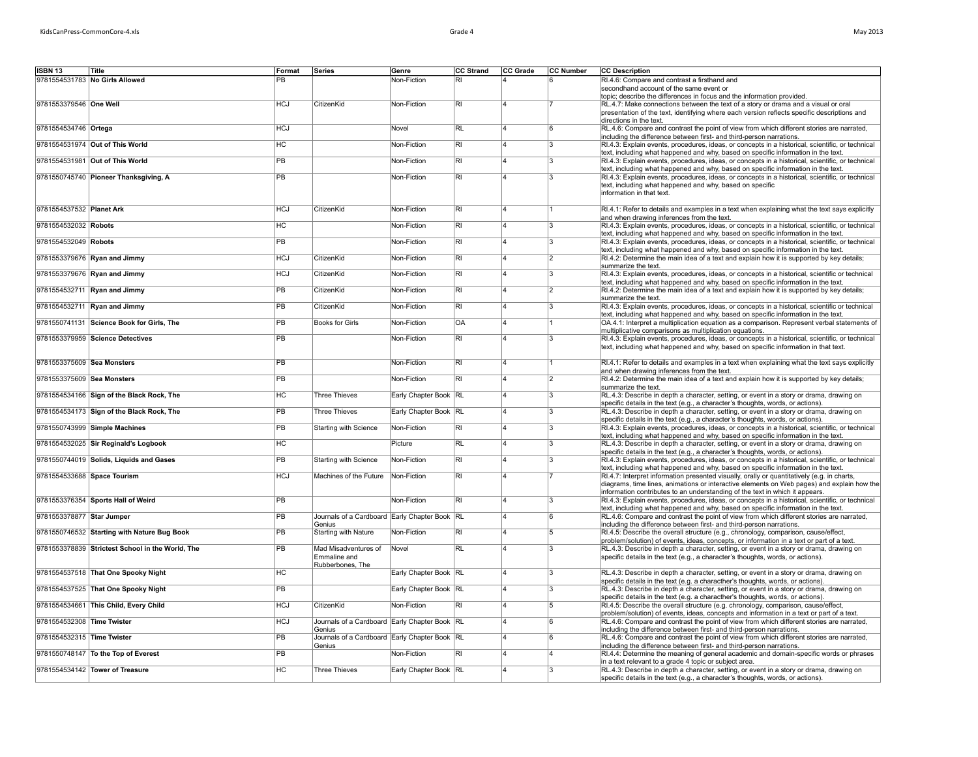| May 2013 |  |
|----------|--|
|----------|--|

| <b>ISBN 13</b>             | Title                                            | Format          | Series                                        | Genre                 | <b>CC Strand</b>        | CC Grade                | CC Number      | <b>CC Description</b>                                                                                                                                                            |
|----------------------------|--------------------------------------------------|-----------------|-----------------------------------------------|-----------------------|-------------------------|-------------------------|----------------|----------------------------------------------------------------------------------------------------------------------------------------------------------------------------------|
|                            |                                                  |                 |                                               |                       |                         |                         |                |                                                                                                                                                                                  |
|                            | 9781554531783 No Girls Allowed                   | PB              |                                               | Non-Fiction           | R <sub>l</sub>          |                         |                | RI.4.6: Compare and contrast a firsthand and                                                                                                                                     |
|                            |                                                  |                 |                                               |                       |                         |                         |                | secondhand account of the same event or<br>topic; describe the differences in focus and the information provided.                                                                |
| 9781553379546 One Well     |                                                  | <b>HCJ</b>      | CitizenKid                                    | Non-Fiction           | $\overline{\mathsf{R}}$ | 4                       |                | RL.4.7: Make connections between the text of a story or drama and a visual or oral                                                                                               |
|                            |                                                  |                 |                                               |                       |                         |                         |                | presentation of the text, identifying where each version reflects specific descriptions and                                                                                      |
|                            |                                                  |                 |                                               |                       |                         |                         |                | directions in the text.                                                                                                                                                          |
| 9781554534746 Ortega       |                                                  | <b>HCJ</b>      |                                               | Novel                 | RL                      | Δ                       | 6              | RL.4.6: Compare and contrast the point of view from which different stories are narrated.                                                                                        |
|                            |                                                  |                 |                                               |                       |                         |                         |                | including the difference between first- and third-person narrations.                                                                                                             |
|                            | 9781554531974 Out of This World                  | <b>HC</b>       |                                               | Non-Fiction           | $\overline{\mathsf{R}}$ | 14                      | 3              | RI.4.3: Explain events, procedures, ideas, or concepts in a historical, scientific, or technical                                                                                 |
|                            |                                                  |                 |                                               |                       |                         |                         |                | text, including what happened and why, based on specific information in the text.                                                                                                |
|                            | 9781554531981 Out of This World                  | PB              |                                               | Non-Fiction           | $\overline{\mathsf{R}}$ | 14                      | 13             | RI.4.3: Explain events, procedures, ideas, or concepts in a historical, scientific, or technical                                                                                 |
|                            |                                                  |                 |                                               |                       |                         |                         |                | text, including what happened and why, based on specific information in the text.                                                                                                |
|                            | 9781550745740 Pioneer Thanksgiving, A            | PB              |                                               | Non-Fiction           | $\overline{\mathsf{R}}$ | ۱4                      | 3              | RI.4.3: Explain events, procedures, ideas, or concepts in a historical, scientific, or technical                                                                                 |
|                            |                                                  |                 |                                               |                       |                         |                         |                | text, including what happened and why, based on specific                                                                                                                         |
|                            |                                                  |                 |                                               |                       |                         |                         |                | information in that text.                                                                                                                                                        |
|                            |                                                  |                 |                                               |                       |                         |                         |                |                                                                                                                                                                                  |
| 9781554537532 Planet Ark   |                                                  | <b>HCJ</b>      | CitizenKid                                    | Non-Fiction           | $\overline{R}$          | 14                      |                | RI.4.1: Refer to details and examples in a text when explaining what the text says explicitly                                                                                    |
|                            |                                                  |                 |                                               |                       |                         |                         |                | and when drawing inferences from the text.                                                                                                                                       |
| 9781554532032 Robots       |                                                  | HC              |                                               | Non-Fiction           | $\overline{RI}$         | 14                      | 3              | RI.4.3: Explain events, procedures, ideas, or concepts in a historical, scientific, or technical                                                                                 |
|                            |                                                  |                 |                                               |                       |                         |                         |                | text, including what happened and why, based on specific information in the text.                                                                                                |
| 9781554532049 Robots       |                                                  | $\overline{PB}$ |                                               | Non-Fiction           | $\overline{R}$          | 4                       | l3             | RI.4.3: Explain events, procedures, ideas, or concepts in a historical, scientific, or technical                                                                                 |
|                            |                                                  |                 |                                               |                       |                         |                         |                | text, including what happened and why, based on specific information in the text.                                                                                                |
|                            | 9781553379676 Ryan and Jimmy                     | <b>HCJ</b>      | CitizenKid                                    | Non-Fiction           | RI                      | $\overline{\mathbf{A}}$ | $\overline{2}$ | RI.4.2: Determine the main idea of a text and explain how it is supported by key details;                                                                                        |
|                            |                                                  |                 |                                               |                       |                         |                         |                | summarize the text.                                                                                                                                                              |
|                            | 9781553379676 Ryan and Jimmy                     | <b>HCJ</b>      | CitizenKid                                    | Non-Fiction           | $\overline{R}$          | $\overline{4}$          | l3             | RI.4.3: Explain events, procedures, ideas, or concepts in a historical, scientific or technical                                                                                  |
|                            |                                                  |                 |                                               |                       |                         |                         |                | text, including what happened and why, based on specific information in the text.                                                                                                |
|                            | 9781554532711 Ryan and Jimmy                     | PB              | CitizenKid                                    | Non-Fiction           | $\overline{\mathsf{R}}$ | $\overline{A}$          | $\overline{2}$ | RI.4.2: Determine the main idea of a text and explain how it is supported by key details;                                                                                        |
|                            |                                                  |                 |                                               |                       |                         |                         |                | summarize the text.                                                                                                                                                              |
|                            | 9781554532711 Ryan and Jimmy                     | PB              | CitizenKid                                    | Non-Fiction           | $\overline{\mathsf{R}}$ | 14                      | 3              | RI.4.3: Explain events, procedures, ideas, or concepts in a historical, scientific or technical                                                                                  |
|                            | 9781550741131 Science Book for Girls, The        | PB              | <b>Books for Girls</b>                        | Non-Fiction           | $\overline{OA}$         | 4                       |                | text, including what happened and why, based on specific information in the text.<br>OA.4.1: Interpret a multiplication equation as a comparison. Represent verbal statements of |
|                            |                                                  |                 |                                               |                       |                         |                         |                | multiplicative comparisons as multiplication equations.                                                                                                                          |
|                            | 9781553379959 Science Detectives                 | $\overline{PB}$ |                                               | Non-Fiction           | $\overline{RI}$         |                         | রি             | RI.4.3: Explain events, procedures, ideas, or concepts in a historical, scientific, or technical                                                                                 |
|                            |                                                  |                 |                                               |                       |                         |                         |                | text, including what happened and why, based on specific information in that text.                                                                                               |
|                            |                                                  |                 |                                               |                       |                         |                         |                |                                                                                                                                                                                  |
| 9781553375609 Sea Monsters |                                                  | <b>PB</b>       |                                               | Non-Fiction           | $\overline{\mathsf{R}}$ | 14                      |                | RI.4.1: Refer to details and examples in a text when explaining what the text says explicitly                                                                                    |
|                            |                                                  |                 |                                               |                       |                         |                         |                | and when drawing inferences from the text.                                                                                                                                       |
| 9781553375609 Sea Monsters |                                                  | <b>PB</b>       |                                               | Non-Fiction           | $\overline{RI}$         | 14                      | 2              | RI.4.2: Determine the main idea of a text and explain how it is supported by key details;                                                                                        |
|                            |                                                  |                 |                                               |                       |                         |                         |                | summarize the text.                                                                                                                                                              |
|                            | 9781554534166 Sign of the Black Rock, The        | HC              | <b>Three Thieves</b>                          | Early Chapter Book RL |                         | $\overline{A}$          | রি             | RL.4.3: Describe in depth a character, setting, or event in a story or drama, drawing on                                                                                         |
|                            |                                                  |                 |                                               |                       |                         |                         |                | specific details in the text (e.g., a character's thoughts, words, or actions).                                                                                                  |
|                            | 9781554534173 Sign of the Black Rock, The        | <b>PB</b>       | <b>Three Thieves</b>                          | Early Chapter Book RL |                         | $\Delta$                | l3             | RL.4.3: Describe in depth a character, setting, or event in a story or drama, drawing on                                                                                         |
|                            |                                                  |                 |                                               |                       |                         |                         |                | specific details in the text (e.g., a character's thoughts, words, or actions).                                                                                                  |
|                            | 9781550743999 Simple Machines                    | <b>PB</b>       | Starting with Science                         | Non-Fiction           | RI                      |                         | l3             | RI.4.3: Explain events, procedures, ideas, or concepts in a historical, scientific, or technical                                                                                 |
|                            |                                                  |                 |                                               |                       |                         |                         |                | text, including what happened and why, based on specific information in the text.                                                                                                |
|                            | 9781554532025 Sir Reginald's Logbook             | HC              |                                               | Picture               | RL                      | 4                       | 3              | RL.4.3: Describe in depth a character, setting, or event in a story or drama, drawing on                                                                                         |
|                            |                                                  |                 |                                               |                       |                         |                         |                | specific details in the text (e.g., a character's thoughts, words, or actions).                                                                                                  |
|                            | 9781550744019 Solids, Liquids and Gases          | PB              | Starting with Science                         | Non-Fiction           | $\overline{R}$          | Ιa                      | 3              | RI.4.3: Explain events, procedures, ideas, or concepts in a historical, scientific, or technical                                                                                 |
|                            |                                                  |                 |                                               |                       |                         |                         |                | text, including what happened and why, based on specific information in the text.                                                                                                |
|                            | 9781554533688 Space Tourism                      | <b>HCJ</b>      | Machines of the Future                        | Non-Fiction           | $\overline{R}$          | ۱4                      |                | RI.4.7: Interpret information presented visually, orally or quantitatively (e.g. in charts,                                                                                      |
|                            |                                                  |                 |                                               |                       |                         |                         |                | diagrams, time lines, animations or interactive elements on Web pages) and explain how the<br>information contributes to an understanding of the text in which it appears.       |
|                            | 9781553376354 Sports Hall of Weird               | <b>PB</b>       |                                               | Non-Fiction           | $\overline{R}$          | $\overline{4}$          | l3             | RI.4.3: Explain events, procedures, ideas, or concepts in a historical, scientific, or technical                                                                                 |
|                            |                                                  |                 |                                               |                       |                         |                         |                | text, including what happened and why, based on specific information in the text.                                                                                                |
| 9781553378877 Star Jumper  |                                                  | PB              | Journals of a Cardboard Early Chapter Book RL |                       |                         | 4                       | ۱ĥ             | RL.4.6: Compare and contrast the point of view from which different stories are narrated,                                                                                        |
|                            |                                                  |                 | Genius                                        |                       |                         |                         |                | including the difference between first- and third-person narrations.                                                                                                             |
|                            | 9781550746532 Starting with Nature Bug Book      | <b>PB</b>       | Starting with Nature                          | Non-Fiction           | $\overline{R}$          | 14                      | 5              | RI.4.5: Describe the overall structure (e.g., chronology, comparison, cause/effect,                                                                                              |
|                            |                                                  |                 |                                               |                       |                         |                         |                | problem/solution) of events, ideas, concepts, or information in a text or part of a text.                                                                                        |
|                            | 9781553378839 Strictest School in the World, The | $\overline{PB}$ | Mad Misadventures of                          | Novel                 | RL                      | 14                      | l3             | RL.4.3: Describe in depth a character, setting, or event in a story or drama, drawing on                                                                                         |
|                            |                                                  |                 | Emmaline and                                  |                       |                         |                         |                | specific details in the text (e.g., a character's thoughts, words, or actions).                                                                                                  |
|                            |                                                  |                 | Rubberbones, The                              |                       |                         |                         |                |                                                                                                                                                                                  |
|                            | 9781554537518 That One Spooky Night              | HC              |                                               | Early Chapter Book RL |                         | $\overline{A}$          | l3             | RL.4.3: Describe in depth a character, setting, or event in a story or drama, drawing on                                                                                         |
|                            |                                                  |                 |                                               |                       |                         |                         |                | specific details in the text (e.g. a characther's thoughts, words, or actions).                                                                                                  |
|                            | 9781554537525 That One Spooky Night              | <b>PB</b>       |                                               | Early Chapter Book RL |                         | 4                       | l3             | RL.4.3: Describe in depth a character, setting, or event in a story or drama, drawing on                                                                                         |
|                            |                                                  |                 |                                               |                       |                         |                         |                | specific details in the text (e.g. a characther's thoughts, words, or actions).                                                                                                  |
|                            | 9781554534661 This Child, Every Child            | <b>HCJ</b>      | CitizenKid                                    | Non-Fiction           | $\overline{RI}$         | 14                      | 5              | RI.4.5: Describe the overall structure (e.g. chronology, comparison, cause/effect,                                                                                               |
|                            |                                                  |                 |                                               |                       |                         |                         |                | problem/solution) of events, ideas, concepts and information in a text or part of a text.                                                                                        |
| 9781554532308 Time Twister |                                                  | <b>HCJ</b>      | Journals of a Cardboard Early Chapter Book RL |                       |                         | <b>A</b>                | lr.            | RL.4.6: Compare and contrast the point of view from which different stories are narrated,                                                                                        |
|                            |                                                  |                 | Genius                                        |                       |                         |                         |                | including the difference between first- and third-person narrations.                                                                                                             |
| 9781554532315 Time Twister |                                                  | $\overline{PB}$ | Journals of a Cardboard Early Chapter Book RL |                       |                         |                         | ۱ĥ             | RL.4.6: Compare and contrast the point of view from which different stories are narrated,                                                                                        |
|                            |                                                  |                 | Genius                                        |                       | R <sub>1</sub>          |                         | 14             | including the difference between first- and third-person narrations.                                                                                                             |
|                            | 9781550748147 To the Top of Everest              | <b>PB</b>       |                                               | Non-Fiction           |                         |                         |                | RI.4.4: Determine the meaning of general academic and domain-specific words or phrases<br>in a text relevant to a grade 4 topic or subject area.                                 |
|                            | 9781554534142 Tower of Treasure                  | H <sub>C</sub>  | <b>Three Thieves</b>                          | Early Chapter Book RL |                         | 4                       | 3              | RL.4.3: Describe in depth a character, setting, or event in a story or drama, drawing on                                                                                         |
|                            |                                                  |                 |                                               |                       |                         |                         |                | specific details in the text (e.g., a character's thoughts, words, or actions).                                                                                                  |
|                            |                                                  |                 |                                               |                       |                         |                         |                |                                                                                                                                                                                  |